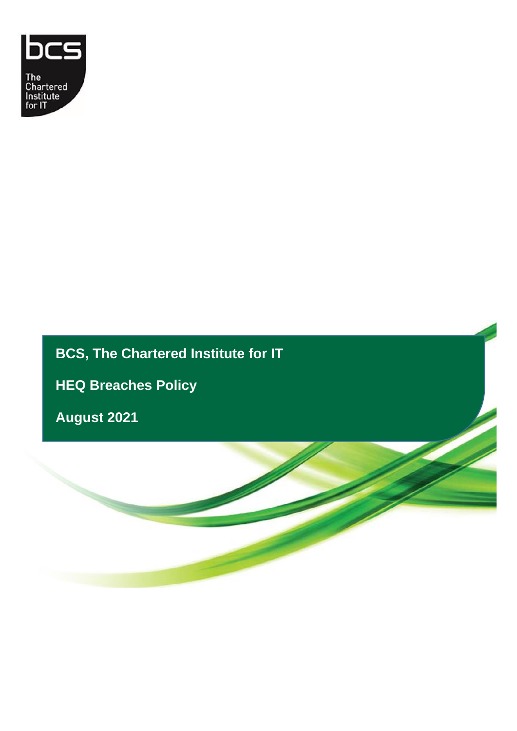

# **BCS, The Chartered Institute for IT**

**HEQ Breaches Policy** 

**August 2021**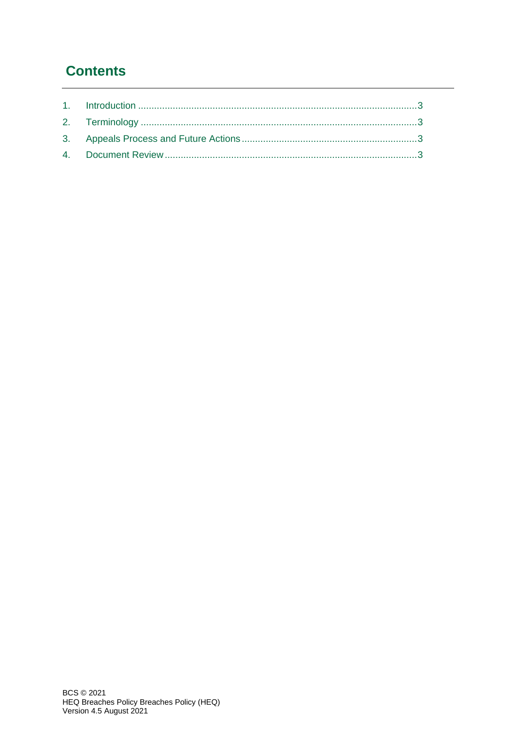# **Contents**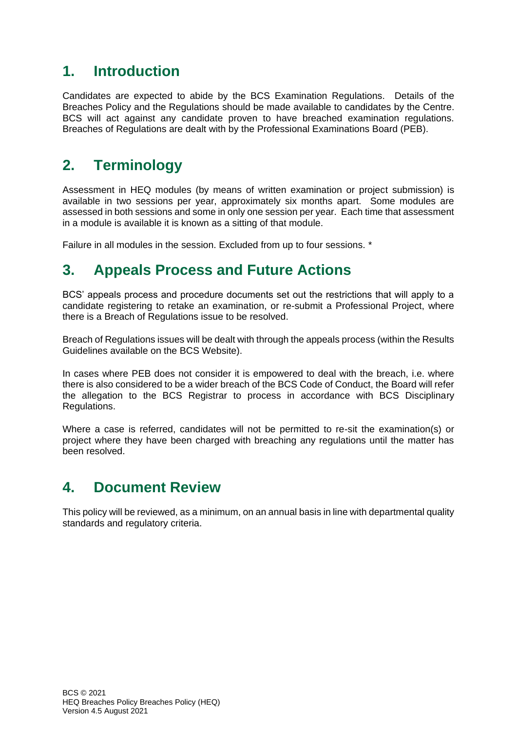### <span id="page-2-0"></span>**1. Introduction**

Candidates are expected to abide by the BCS Examination Regulations. Details of the Breaches Policy and the Regulations should be made available to candidates by the Centre. BCS will act against any candidate proven to have breached examination regulations. Breaches of Regulations are dealt with by the Professional Examinations Board (PEB).

# <span id="page-2-1"></span>**2. Terminology**

Assessment in HEQ modules (by means of written examination or project submission) is available in two sessions per year, approximately six months apart. Some modules are assessed in both sessions and some in only one session per year. Each time that assessment in a module is available it is known as a sitting of that module.

Failure in all modules in the session. Excluded from up to four sessions. \*

## <span id="page-2-2"></span>**3. Appeals Process and Future Actions**

BCS' appeals process and procedure documents set out the restrictions that will apply to a candidate registering to retake an examination, or re-submit a Professional Project, where there is a Breach of Regulations issue to be resolved.

Breach of Regulations issues will be dealt with through the appeals process (within the Results Guidelines available on the BCS Website).

In cases where PEB does not consider it is empowered to deal with the breach, i.e. where there is also considered to be a wider breach of the BCS Code of Conduct, the Board will refer the allegation to the BCS Registrar to process in accordance with BCS Disciplinary Regulations.

Where a case is referred, candidates will not be permitted to re-sit the examination(s) or project where they have been charged with breaching any regulations until the matter has been resolved.

### <span id="page-2-3"></span>**4. Document Review**

This policy will be reviewed, as a minimum, on an annual basis in line with departmental quality standards and regulatory criteria.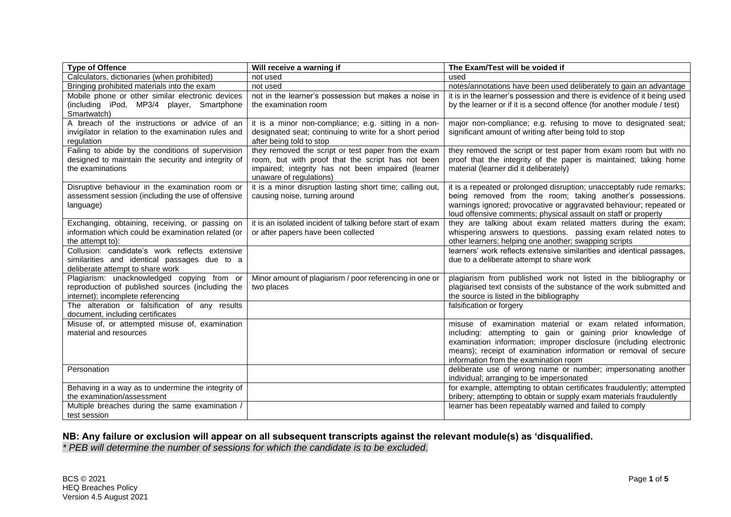| <b>Type of Offence</b>                                                                                                              | Will receive a warning if                                                                                                                                                                 | The Exam/Test will be voided if                                                                                                                                                                                                                                                                              |  |
|-------------------------------------------------------------------------------------------------------------------------------------|-------------------------------------------------------------------------------------------------------------------------------------------------------------------------------------------|--------------------------------------------------------------------------------------------------------------------------------------------------------------------------------------------------------------------------------------------------------------------------------------------------------------|--|
| Calculators, dictionaries (when prohibited)                                                                                         | not used                                                                                                                                                                                  | used                                                                                                                                                                                                                                                                                                         |  |
| Bringing prohibited materials into the exam                                                                                         | not used                                                                                                                                                                                  | notes/annotations have been used deliberately to gain an advantage                                                                                                                                                                                                                                           |  |
| Mobile phone or other similar electronic devices<br>(including iPod, MP3/4 player, Smartphone<br>Smartwatch)                        | not in the learner's possession but makes a noise in<br>the examination room                                                                                                              | it is in the learner's possession and there is evidence of it being used<br>by the learner or if it is a second offence (for another module / test)                                                                                                                                                          |  |
| A breach of the instructions or advice of an<br>invigilator in relation to the examination rules and<br>regulation                  | it is a minor non-compliance; e.g. sitting in a non-<br>designated seat; continuing to write for a short period<br>after being told to stop                                               | major non-compliance; e.g. refusing to move to designated seat;<br>significant amount of writing after being told to stop                                                                                                                                                                                    |  |
| Failing to abide by the conditions of supervision<br>designed to maintain the security and integrity of<br>the examinations         | they removed the script or test paper from the exam<br>room, but with proof that the script has not been<br>impaired; integrity has not been impaired (learner<br>unaware of regulations) | they removed the script or test paper from exam room but with no<br>proof that the integrity of the paper is maintained; taking home<br>material (learner did it deliberately)                                                                                                                               |  |
| Disruptive behaviour in the examination room or<br>assessment session (including the use of offensive<br>language)                  | it is a minor disruption lasting short time; calling out,<br>causing noise, turning around                                                                                                | it is a repeated or prolonged disruption; unacceptably rude remarks;<br>being removed from the room; taking another's possessions.<br>warnings ignored; provocative or aggravated behaviour; repeated or<br>loud offensive comments; physical assault on staff or property                                   |  |
| Exchanging, obtaining, receiving, or passing on<br>information which could be examination related (or<br>the attempt to):           | it is an isolated incident of talking before start of exam<br>or after papers have been collected                                                                                         | they are talking about exam related matters during the exam;<br>whispering answers to questions. passing exam related notes to<br>other learners; helping one another; swapping scripts                                                                                                                      |  |
| Collusion: candidate's work reflects extensive<br>similarities and identical passages due to a<br>deliberate attempt to share work  |                                                                                                                                                                                           | learners' work reflects extensive similarities and identical passages,<br>due to a deliberate attempt to share work                                                                                                                                                                                          |  |
| Plagiarism: unacknowledged copying from or<br>reproduction of published sources (including the<br>internet); incomplete referencing | Minor amount of plagiarism / poor referencing in one or<br>two places                                                                                                                     | plagiarism from published work not listed in the bibliography or<br>plagiarised text consists of the substance of the work submitted and<br>the source is listed in the bibliography                                                                                                                         |  |
| The alteration or falsification of any results<br>document, including certificates                                                  |                                                                                                                                                                                           | falsification or forgery                                                                                                                                                                                                                                                                                     |  |
| Misuse of, or attempted misuse of, examination<br>material and resources                                                            |                                                                                                                                                                                           | misuse of examination material or exam related information,<br>including: attempting to gain or gaining prior knowledge of<br>examination information; improper disclosure (including electronic<br>means); receipt of examination information or removal of secure<br>information from the examination room |  |
| Personation                                                                                                                         |                                                                                                                                                                                           | deliberate use of wrong name or number; impersonating another<br>individual; arranging to be impersonated                                                                                                                                                                                                    |  |
| Behaving in a way as to undermine the integrity of<br>the examination/assessment                                                    |                                                                                                                                                                                           | for example, attempting to obtain certificates fraudulently; attempted<br>bribery; attempting to obtain or supply exam materials fraudulently                                                                                                                                                                |  |
| Multiple breaches during the same examination /<br>test session                                                                     |                                                                                                                                                                                           | learner has been repeatably warned and failed to comply                                                                                                                                                                                                                                                      |  |

#### **NB: Any failure or exclusion will appear on all subsequent transcripts against the relevant module(s) as 'disqualified.**

*\* PEB will determine the number of sessions for which the candidate is to be excluded.*